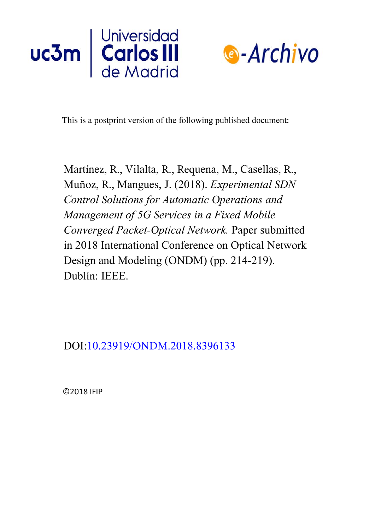



This is a postprint version of the following published document:

Martínez, R., Vilalta, R., Requena, M., Casellas, R., Muñoz, R., Mangues, J. (2018). *Experimental SDN Control Solutions for Automatic Operations and Management of 5G Services in a Fixed Mobile Converged Packet-Optical Network.* Paper submitted in 2018 International Conference on Optical Network Design and Modeling (ONDM) (pp. 214-219). Dublín: IEEE.

DOI:10.23919/ONDM[.2018.8396133](https://doi.org/10.23919/ONDM.2018.8396133)

©2018 IFIP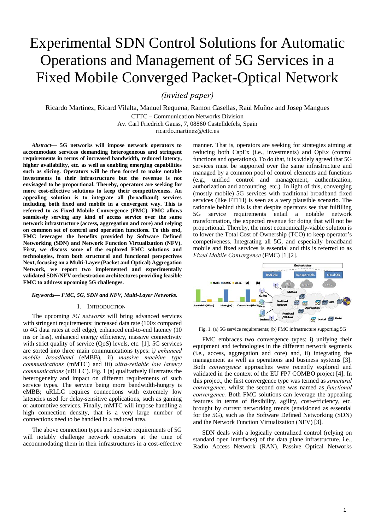# Experimental SDN Control Solutions for Automatic Operations and Management of 5G Services in a Fixed Mobile Converged Packet-Optical Network

*(invited paper)*

Ricardo Martínez, Ricard Vilalta, Manuel Requena, Ramon Casellas, Raül Muñoz and Josep Mangues CTTC – Communication Networks Division Av. Carl Friedrich Gauss, 7, 08860 Castelldefels, Spain ricardo.martinez@cttc.es

*Abstract***— 5G networks will impose network operators to accommodate services demanding heterogeneous and stringent requirements in terms of increased bandwidth, reduced latency, higher availability, etc. as well as enabling emerging capabilities such as slicing. Operators will be then forced to make notable investments in their infrastructure but the revenue is not envisaged to be proportional. Thereby, operators are seeking for more cost-effective solutions to keep their competitiveness. An appealing solution is to integrate all (broadband) services including both fixed and mobile in a convergent way. This is referred to as Fixed Mobile Convergence (FMC). FMC allows seamlessly serving any kind of access service over the same network infrastructure (access, aggregation and core) and relying on common set of control and operation functions. To this end, FMC leverages the benefits provided by Software Defined Networking (SDN) and Network Function Virtualization (NFV). First, we discuss some of the explored FMC solutions and technologies, from both structural and functional perspectives Next, focusing on a Multi-Layer (Packet and Optical) Aggregation Network, we report two implemented and experimentally validated SDN/NFV orchestration architectures providing feasible FMC to address upcoming 5G challenges.** 

#### *Keywords— FMC, 5G, SDN and NFV, Multi-Layer Networks.*

#### I. INTRODUCTION

The upcoming *5G networks* will bring advanced services with stringent requirements: increased data rate (100x compared) to 4G data rates at cell edge), enhanced end-to-end latency (10 ms or less), enhanced energy efficiency, massive connectivity with strict quality of service (QoS) levels, etc. [1]. 5G services are sorted into three main communications types: i*) enhanced mobile broadband* (eMBB), ii) *massive machine type communications* (mMTC) and iii) *ultra-reliable low latency communications* (uRLLC). Fig. 1 (a) qualitatively illustrates the heterogeneity and impact on different requirements of such service types. The service being more bandwidth-hungry is eMBB; uRLLC requires connections with extremely low latencies used for delay-sensitive applications, such as gaming or automotive services. Finally, mMTC will impose handling a high connection density, that is a very large number of connections need to be handled in a reduced area.

The above connection types and service requirements of 5G will notably challenge network operators at the time of accommodating them in their infrastructures in a cost-effective

manner. That is, operators are seeking for strategies aiming at reducing both CapEx (i.e., investments) and OpEx (control functions and operations). To do that, it is widely agreed that 5G services must be supported over the same infrastructure and managed by a common pool of control elements and functions (e.g., unified control and management, authentication, authorization and accounting, etc.). In light of this, converging (mostly mobile) 5G services with traditional broadband fixed services (like FTTH) is seen as a very plausible scenario. The rationale behind this is that despite operators see that fulfilling 5G service requirements entail a notable network transformation, the expected revenue for doing that will not be proportional. Thereby, the most economically-viable solution is to lower the Total Cost of Ownership (TCO) to keep operator's competiveness. Integrating all 5G, and especially broadband mobile and fixed services is essential and this is referred to as *Fixed Mobile Convergence* (FMC) [1][2].



Fig. 1. (a) 5G service requirements; (b) FMC infrastructure supporting 5G

FMC embraces two convergence types: i) unifying their equipment and technologies in the different network segments (i.e., access, aggregation and core) and, ii) integrating the management as well as operations and business systems [3]. Both *convergence* approaches were recently explored and validated in the context of the EU FP7 COMBO project [4]. In this project, the first convergence type was termed as *structural convergence,* whilst the second one was named as *functional convergence.* Both FMC solutions can leverage the appealing features in terms of flexibility, agility, cost-efficiency, etc. brought by current networking trends (envisioned as essential for the 5G), such as the Software Defined Networking (SDN) and the Network Function Virtualization (NFV) [3].

SDN deals with a logically centralized control (relying on standard open interfaces) of the data plane infrastructure, i.e., Radio Access Network (RAN), Passive Optical Networks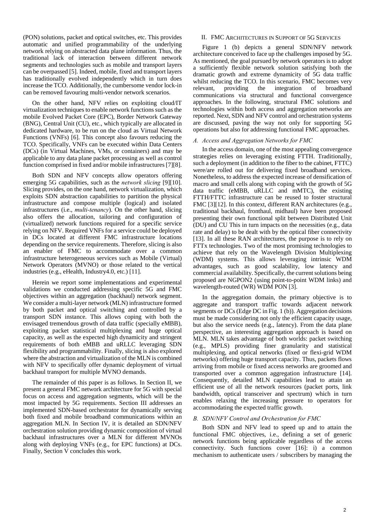(PON) solutions, packet and optical switches, etc. This provides automatic and unified programmability of the underlying network relying on abstracted data plane information. Thus, the traditional lack of interaction between different network segments and technologies such as mobile and transport layers can be overpassed [5]. Indeed, mobile, fixed and transport layers has traditionally evolved independently which in turn does increase the TCO. Additionally, the cumbersome vendor lock-in can be removed favouring multi-vendor network scenarios.

On the other hand, NFV relies on exploiting cloud/IT virtualization techniques to enable network functions such as the mobile Evolved Packet Core (EPC), Border Network Gateway (BNG), Central Unit (CU), etc., which typically are allocated in dedicated hardware, to be run on the cloud as Virtual Network Functions (VNFs) [6]. This concept also favours reducing the TCO. Specifically, VNFs can be executed within Data Centers (DCs) (in Virtual Machines, VMs, or containers) and may be applicable to any data plane packet processing as well as control function comprised in fixed and/or mobile infrastructures [7][8].

Both SDN and NFV concepts allow operators offering emerging 5G capabilities, such as the *network slicing* [9][10]. Slicing provides, on the one hand, network virtualization, which exploits SDN abstraction capabilities to partition the physical infrastructure and compose multiple (logical) and isolated infrastructures (i.e., *multi-tenancy*). On the other hand, slicing also offers the allocation, tailoring and configuration of (virtualized) network functions required for a specific service relying on NFV. Required VNFs for a service could be deployed in DCs located at different FMC infrastructure locations depending on the service requirements. Therefore, slicing is also an enabler of FMC to accommodate over a common infrastructure heterogeneous services such as Mobile (Virtual) Network Operators (MVNO) or those related to the vertical industries (e.g., eHealth, Industry4.0, etc.) [11].

Herein we report some implementations and experimental validations we conducted addressing specific 5G and FMC objectives within an aggregation (backhaul) network segment. We consider a multi-layer network (MLN) infrastructure formed by both packet and optical switching and controlled by a transport SDN instance. This allows coping with both the envisaged tremendous growth of data traffic (specially eMBB), exploiting packet statistical multiplexing and huge optical capacity, as well as the expected high dynamicity and stringent requirements of both eMBB and uRLLC leveraging SDN flexibility and programmability. Finally, slicing is also explored where the abstraction and virtualization of the MLN is combined with NFV to specifically offer dynamic deployment of virtual backhaul transport for multiple MVNO demands.

The remainder of this paper is as follows. In Section II, we present a general FMC network architecture for 5G with special focus on access and aggregation segments, which will be the most impacted by 5G requirements. Section III addresses an implemented SDN-based orchestrator for dynamically serving both fixed and mobile broadband communications within an aggregation MLN. In Section IV, it is detailed an SDN/NFV orchestration solution providing dynamic composition of virtual backhaul infrastructures over a MLN for different MVNOs along with deploying VNFs (e.g., for EPC functions) at DCs. Finally, Section V concludes this work.

## II. FMC ARCHITECTURES IN SUPPORT OF 5G SERVICES

Figure 1 (b) depicts a general SDN/NFV network architecture conceived to face up the challenges imposed by 5G. As mentioned, the goal pursued by network operators is to adopt a sufficiently flexible network solution satisfying both the dramatic growth and extreme dynamicity of 5G data traffic whilst reducing the TCO. In this scenario, FMC becomes very relevant, providing the integration of broadband communications via structural and functional convergence approaches. In the following, structural FMC solutions and technologies within both access and aggregation networks are reported. Next, SDN and NFV control and orchestration systems are discussed, paving the way not only for supporting 5G operations but also for addressing functional FMC approaches.

#### *A. Access and Aggregation Networks for FMC*

In the access domain, one of the most appealing convergence strategies relies on leveraging existing FTTH. Traditionally, such a deployment (in addition to the fiber to the cabinet, FTTC) were/are rolled out for delivering fixed broadband services. Nonetheless, to address the expected increase of densification of macro and small cells along with coping with the growth of 5G data traffic (eMBB, uRLLC and mMTC), the existing FTTH/FTTC infrastructure can be reused to foster structural FMC [3][12]. In this context, different RAN architectures (e.g., traditional backhaul, fronthaul, midhaul) have been proposed presenting their own functional split between Distributed Unit (DU) and CU This in turn impacts on the necessities (e.g., data rate and delay) to be dealt with by the optical fiber connectivity [13]. In all these RAN architectures, the purpose is to rely on FTTx technologies. Two of the most promising technologies to achieve that rely on the Wavelength Division Multiplexing (WDM) systems. This allows leveraging intrinsic WDM advantages, such as good scalability, low latency and commercial availability. Specifically, the current solutions being proposed are NGPON2 (using point-to-point WDM links) and wavelength-routed (WR) WDM PON [3].

In the aggregation domain, the primary objective is to aggregate and transport traffic towards adjacent network segments or DCs (Edge DC in Fig. 1 (b)). Aggregation decisions must be made considering not only the efficient capacity usage, but also the service needs (e.g., latency). From the data plane perspective, an interesting aggregation approach is based on MLN. MLN takes advantage of both worlds: packet switching (e.g., MPLS) providing finer granularity and statistical multiplexing, and optical networks (fixed or flexi-grid WDM networks) offering huge transport capacity. Thus, packets flows arriving from mobile or fixed access networks are groomed and transported over a common aggregation infrastructure [14]. Consequently, detailed MLN capabilities lead to attain an efficient use of all the network resources (packet ports, link bandwidth, optical transceiver and spectrum) which in turn enables relaxing the increasing pressure to operators for accommodating the expected traffic growth.

#### *B. SDN/NFV Control and Orchestration for FMC*

Both SDN and NFV lead to speed up and to attain the functional FMC objectives, i.e., defining a set of generic network functions being applicable regardless of the access connectivity. Such functions cover [16]: i) a common mechanism to authenticate users / subscribers by managing the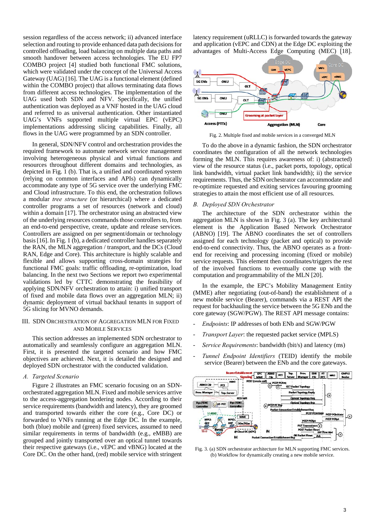session regardless of the access network; ii) advanced interface selection and routing to provide enhanced data path decisions for controlled offloading, load balancing on multiple data paths and smooth handover between access technologies. The EU FP7 COMBO project [4] studied both functional FMC solutions, which were validated under the concept of the Universal Access Gateway (UAG) [16]. The UAG is a functional element (defined within the COMBO project) that allows terminating data flows from different access technologies. The implementation of the UAG used both SDN and NFV. Specifically, the unified authentication was deployed as a VNF hosted in the UAG cloud and referred to as universal authentication. Other instantiated UAG's VNFs supported multiple virtual EPC (vEPC) implementations addressing slicing capabilities. Finally, all flows in the UAG were programmed by an SDN controller.

In general, SDN/NFV control and orchestration provides the required framework to automate network service management involving heterogeneous physical and virtual functions and resources throughout different domains and technologies, as depicted in Fig. 1 (b). That is, a unified and coordinated system (relying on common interfaces and APIs) can dynamically accommodate any type of 5G service over the underlying FMC and Cloud infrastructure. To this end, the orchestration follows a modular *tree structure* (or hierarchical) where a dedicated controller programs a set of resources (network and cloud) within a domain [17]. The orchestrator using an abstracted view of the underlying resources commands those controllers to, from an end-to-end perspective, create, update and release services. Controllers are assigned on per segment/domain or technology basis [16]. In Fig. 1 (b), a dedicated controller handles separately the RAN, the MLN aggregation / transport, and the DCs (Cloud RAN, Edge and Core). This architecture is highly scalable and flexible and allows supporting cross-domain strategies for functional FMC goals: traffic offloading, re-optimization, load balancing. In the next two Sections we report two experimental validations led by CTTC demonstrating the feasibility of applying SDN/NFV orchestration to attain: i) unified transport of fixed and mobile data flows over an aggregation MLN; ii) dynamic deployment of virtual backhaul tenants in support of 5G slicing for MVNO demands.

## III. SDN ORCHESTRATION OF AGGREGATION MLN FOR FIXED AND MOBILE SERVICES

This section addresses an implemented SDN orchestrator to automatically and seamlessly configure an aggregation MLN. First, it is presented the targeted scenario and how FMC objectives are achieved. Next, it is detailed the designed and deployed SDN orchestrator with the conducted validation.

## *A. Targeted Scenario*

Figure 2 illustrates an FMC scenario focusing on an SDNorchestrated aggregation MLN. Fixed and mobile services arrive to the access-aggregation bordering nodes. According to their service requirements (bandwidth and latency), they are groomed and transported towards either the core (e.g., Core DC) or forwarded to VNFs running at the Edge DC. In the example, both (blue) mobile and (green) fixed services, assumed to need similar requirements in terms of bandwidth (e.g., eMBB) are grouped and jointly transported over an optical tunnel towards their respective gateways (i.e., vEPC and vBNG) located at the Core DC. On the other hand, (red) mobile service with stringent latency requirement (uRLLC) is forwarded towards the gateway and application (vEPC and CDN) at the Edge DC exploiting the advantages of Multi-Access Edge Computing (MEC) [18].



Fig. 2. Multiple fixed and mobile services in a converged MLN

To do the above in a dynamic fashion, the SDN orchestrator coordinates the configuration of all the network technologies forming the MLN. This requires awareness of: i) (abstracted) view of the resource status (i.e., packet ports, topology, optical link bandwidth, virtual packet link bandwidth); ii) the service requirements. Thus, the SDN orchestrator can accommodate and re-optimize requested and exiting services favouring grooming strategies to attain the most efficient use of all resources.

#### *B. Deployed SDN Orchestrator*

The architecture of the SDN orchestrator within the aggregation MLN is shown in Fig. 3 (a). The key architectural element is the Application Based Network Orchestrator (ABNO) [19]. The ABNO coordinates the set of controllers assigned for each technology (packet and optical) to provide end-to-end connectivity. Thus, the ABNO operates as a frontend for receiving and processing incoming (fixed or mobile) service requests. This element then coordinates/triggers the rest of the involved functions to eventually come up with the computation and programmability of the MLN [20].

In the example, the EPC's Mobility Management Entity (MME) after negotiating (out-of-band) the establishment of a new mobile service (Bearer), commands via a REST API the request for backhauling the service between the 5G ENb and the core gateway (SGW/PGW). The REST API message contains:

- *Endpoints*: IP addresses of both ENb and SGW/PGW
- *Transport Laver*: the requested packet service (MPLS)
- *Service Requirements*: bandwidth (bit/s) and latency (ms)
- *Tunnel Endpoint Identifiers* (TEID) identify the mobile service (Bearer) between the ENb and the core gateways.



Fig. 3. (a) SDN orchestrator architecture for MLN supporting FMC services. (b) Workflow for dynamically creating a new mobile service.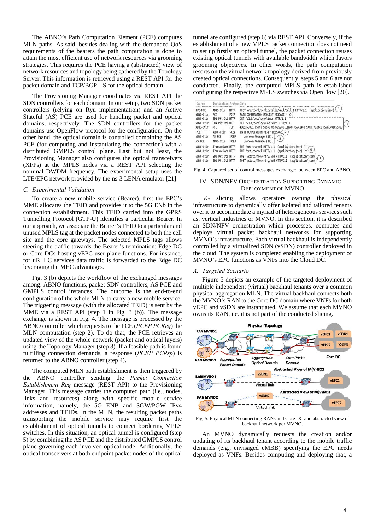The ABNO's Path Computation Element (PCE) computes MLN paths. As said, besides dealing with the demanded QoS requirements of the bearers the path computation is done to attain the most efficient use of network resources via grooming strategies. This requires the PCE having a (abstracted) view of network resources and topology being gathered by the Topology Server. This information is retrieved using a REST API for the packet domain and TCP/BGP-LS for the optical domain.

The Provisioning Manager coordinates via REST API the SDN controllers for each domain. In our setup, two SDN packet controllers (relying on Ryu implementation) and an Active Stateful (AS) PCE are used for handling packet and optical domains, respectively. The SDN controllers for the packet domains use OpenFlow protocol for the configuration. On the other hand, the optical domain is controlled combining the AS PCE (for computing and instantiating the connection) with a distributed GMPLS control plane. Last but not least, the Provisioning Manager also configures the optical transceivers (XFPs) at the MPLS nodes via a REST API selecting the nominal DWDM frequency. The experimental setup uses the LTE/EPC network provided by the ns-3 LENA emulator [21].

#### *C. Experimental Validation*

To create a new mobile service (Bearer), first the EPC's MME allocates the TEID and provides it to the 5G ENb in the connection establishment. This TEID carried into the GPRS Tunnelling Protocol (GTP-U) identifies a particular Bearer. In our approach, we associate the Bearer's TEID to a particular and unused MPLS tag at the packet nodes connected to both the cell site and the core gateways. The selected MPLS tags allows steering the traffic towards the Bearer's termination: Edge DC or Core DCs hosting vEPC user plane functions. For instance, for uRLLC services data traffic is forwarded to the Edge DC leveraging the MEC advantages.

Fig. 3 (b) depicts the workflow of the exchanged messages among: ABNO functions, packet SDN controllers, AS PCE and GMPLS control instances. The outcome is the end-to-end configuration of the whole MLN to carry a new mobile service. The triggering message (with the allocated TEID) is sent by the MME via a REST API (step 1 in Fig. 3 (b)). The message exchange is shown in Fig. 4. The message is processed by the ABNO controller which requests to the PCE (*PCEP PCReq*) the MLN computation (step 2). To do that, the PCE retrieves an updated view of the whole network (packet and optical layers) using the Topology Manager (step 3). If a feasible path is found fulfilling connection demands, a response (*PCEP PCRsp*) is returned to the ABNO controller (step 4).

The computed MLN path establishment is then triggered by the ABNO controller sending the *Packet Connection Establishment Req* message (REST API) to the Provisioning Manager. This message carries the computed path (i.e., nodes, links and resources) along with specific mobile service information, namely, the 5G ENB and SGW/PGW IPv4 addresses and TEIDs. In the MLN, the resulting packet paths transporting the mobile service may require first the establishment of optical tunnels to connect bordering MPLS switches. In this situation, an optical tunnel is configured (step 5) by combining the AS PCE and the distributed GMPLS control plane governing each involved optical node. Additionally, the optical transceivers at both endpoint packet nodes of the optical

tunnel are configured (step 6) via REST API. Conversely, if the establishment of a new MPLS packet connection does not need to set up firstly an optical tunnel, the packet connection reuses existing optical tunnels with available bandwidth which favors grooming objectives. In other words, the path computation resorts on the virtual network topology derived from previously created optical connections. Consequently, steps 5 and 6 are not conducted. Finally, the computed MPLS path is established configuring the respective MPLS switches via OpenFlow [20].

|  | Source      | Destination Protocc Info |             |                                                                            |
|--|-------------|--------------------------|-------------|----------------------------------------------------------------------------|
|  | $-$ EPC-MME | ABNO-Ctlr                | <b>HTTP</b> | POST /restconf/config/calls/call/call_1 HTTP/1.1 (application/json) (1)    |
|  | ABNO-Ctlr   | PCE                      | PCEP        | $\overline{2}$<br>PATH COMPUTATION REQUEST MESSAGE                         |
|  | ABNO-Ctlr   | SDN Pkt Ctl HTTP         |             | GET /v1.0/topology/links HTTP/1.1                                          |
|  | ABNO-Ctlr   | SDN Pkt Ctl HTTP         |             | GET /v1.0/topology/switches HTTP/1.1                                       |
|  | ABNO-Ctlr   | PCE                      | TCP         | 41052-8881 [SYN] Seq=0 Win=29200 Len=0 MSS=1460 SACK PERM=1 TSval=91055338 |
|  | PCE         | ABNO-Ctlr                | PCEP        | PATH COMPUTATION REPLY MESSAGE(4)                                          |
|  | ABNO-Ctlr   | AS PCE                   | PCEP        | Unknown Message (12).<br>5                                                 |
|  | AS PCE      | ABNO-Ctlr                | PCEP        | Unknown Message (10).                                                      |
|  | ABNO-Ctlr   | Transceiver HTTP         |             | PUT /set channel HTTP/1.1 (application/json)                               |
|  | ABNO-Ctlr   | Transceiver HTTP         |             | 6<br>PUT /set channel HTTP/1.1 (application/json)                          |
|  | ABNO-Ctlr   | SDN Pkt Ctl HTTP         |             | POST /stats/flowentry/add HTTP/1.1 (application/json)                      |
|  | ABNO-Ctlr   | SDN Pkt Ctl HTTP         |             | POST /stats/flowentry/add HTTP/1.1 (application/json)                      |

Fig. 4. Captured set of control messages exchanged between EPC and ABNO.

## IV. SDN/NFV ORCHESTRATION SUPPORTING DYNAMIC DEPLOYMENT OF MVNO

5G slicing allows operators owning the physical infrastructure to dynamically offer isolated and tailored tenants over it to accommodate a myriad of heterogeneous services such as, vertical industries or MVNO. In this section, it is described an SDN/NFV orchestration which processes, computes and deploys virtual packet backhaul networks for supporting MVNO's infrastructure. Each virtual backhaul is independently controlled by a virtualized SDN (vSDN) controller deployed in the cloud. The system is completed enabling the deployment of MVNO's EPC functions as VNFs into the Cloud DC.

## *A. Targeted Scenario*

Figure 5 depicts an example of the targeted deployment of multiple independent (virtual) backhaul tenants over a common physical aggregation MLN. The virtual backhaul connects both the MVNO's RAN to the Core DC domain where VNFs for both vEPC and vSDN are instantiated. We assume that each MVNO owns its RAN, i.e. it is not part of the conducted slicing.



Fig. 5. Physical MLN connecting RANs and Core DC and abstracted view of backhaul network per MVNO.

An MVNO dynamically requests the creation and/or updating of its backhaul tenant according to the mobile traffic demands (e.g., envisaged eMBB) specifying the EPC needs deployed as VNFs. Besides computing and deploying that, a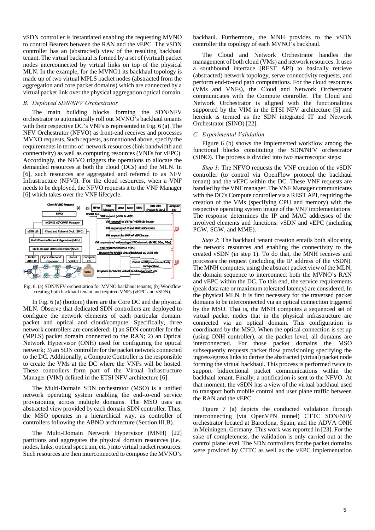vSDN controller is instantiated enabling the requesting MVNO to control Bearers between the RAN and the vEPC. The vSDN controller has an (abstracted) view of the resulting backhaul tenant. The virtual backhaul is formed by a set of (virtual) packet nodes interconnected by virtual links on top of the physical MLN. In the example, for the MVNO1 its backhaul topology is made up of two virtual MPLS packet nodes (abstracted from the aggregation and core packet domains) which are connected by a virtual packet link over the physical aggregation optical domain.

#### *B. Deployed SDN/NFV Orchestrator*

The main building blocks forming the SDN/NFV orchestrator to automatically roll out MVNO's backhaul tenants with their respective DC's VNFs is represented in Fig. 6 (a). The NFV Orchestrator (NFVO) as front-end receives and processes MVNO requests. Such requests, as mentioned above, specify the requirements in terms of: network resources (link bandwidth and connectivity) as well as computing resources (VNFs for vEPC). Accordingly, the NFVO triggers the operations to allocate the demanded resources at both the cloud (DCs) and the MLN. In [6], such resources are aggregated and referred to as NFV Infrastructure (NFVI). For the cloud resources, when a VNF needs to be deployed, the NFVO requests it to the VNF Manager [6] which takes over the VNF lifecycle.



Fig. 6. (a) SDN/NFV orchestration for MVNO backhaul tenants; (b) Workflow creating both backhaul tenant and required VNFs (vEPC and vSDN).

In Fig. 6 (a) (bottom) there are the Core DC and the physical MLN. Observe that dedicated SDN controllers are deployed to configure the network elements of each particular domain: packet and optical and cloud/compute. Specifically, three network controllers are considered: 1) an SDN controller for the (MPLS) packet domain connected to the RAN; 2) an Optical Network Hypervisor (ONH) used for configuring the optical network; 3) an SDN controller for the packet network connected to the DC. Additionally, a Compute Controller is the responsible to create the VMs at the DC where the VNFs will be hosted. These controllers form part of the Virtual Infrastructure Manager (VIM) defined in the ETSI NFV architecture [6].

The Multi-Domain SDN orchestrator (MSO) is a unified network operating system enabling the end-to-end service provisioning across multiple domains. The MSO uses an abstracted view provided by each domain SDN controller. Thus, the MSO operates in a hierarchical way, as controller of controllers following the ABNO architecture (Section III.B).

The Multi-Domain Network Hypervisor (MNH) [22] partitions and aggregates the physical domain resources (i.e., nodes, links, optical spectrum, etc.) into virtual packet resources. Such resources are then interconnected to compose the MVNO's backhaul. Furthermore, the MNH provides to the vSDN controller the topology of each MVNO's backhaul.

The Cloud and Network Orchestrator handles the management of both cloud (VMs) and network resources. It uses a southbound interface (REST API) to basically retrieve (abstracted) network topology, serve connectivity requests, and perform end-to-end path computations. For the cloud resources (VMs and VNFs), the Cloud and Network Orchestrator communicates with the Compute controller. The Cloud and Network Orchestrator is aligned with the functionalities supported by the VIM in the ETSI NFV architecture [5] and hereink is termed as the SDN integrated IT and Network Orchestrator (SINO) [22].

#### *C. Experimental Validation*

Figure 6 (b) shows the implemented workflow among the functional blocks constituting the SDN/NFV orchestrator (SINO). The process is divided into two macroscopic steps:

*Step 1*: The NFVO requests the VNF creation of the vSDN controller (to control via OpenFlow protocol the backhaul tenant) and the vEPC within the DC. These VNF requests are handled by the VNF manager. The VNF Manager communicates with the DC's Compute controller via a REST API, requiring the creation of the VMs (specifying CPU and memory) with the respective operating system image of the VNF implementations. The response determines the IP and MAC addresses of the involved elements and functions: vSDN and vEPC (including PGW, SGW, and MME).

*Step 2*: The backhaul tenant creation entails both allocating the network resources and enabling the connectivity to the created vSDN (in step 1). To do that, the MNH receives and processes the request (including the IP address of the vSDN). The MNH computes, using the abstract packet view of the MLN, the domain sequence to interconnect both the MVNO's RAN and vEPC within the DC. To this end, the service requirements (peak data rate or maximum tolerated latency) are considered. In the physical MLN, it is first necessary for the traversed packet domains to be interconnected via an optical connection triggered by the MSO. That is, the MNH computes a sequenced set of virtual packet nodes that in the physical infrastructure are connected via an optical domain. This configuration is coordinated by the MSO. When the optical connection is set up (using ONH controller), at the packet level, all domains are interconnected. For those packet domains the MSO subsequently requests packet flow provisioning specifying the ingress/egress links to derive the abstracted (virtual) packet node forming the virtual backhaul. This process is performed twice to support bidirectional packet communications within the backhaul tenant. Finally, a notification is sent to the NFVO. At that moment, the vSDN has a view of the virtual backhaul used to transport both mobile control and user plane traffic between the RAN and the vEPC.

Figure 7 (a) depicts the conducted validation through interconnecting (via OpenVPN tunnel) CTTC SDN/NFV orchestrator located at Barcelona, Spain, and the ADVA ONH in Meiningen, Germany. This work was reported in [23]. For the sake of completeness, the validation is only carried out at the control plane level. The SDN controllers for the packet domains were provided by CTTC as well as the vEPC implementation